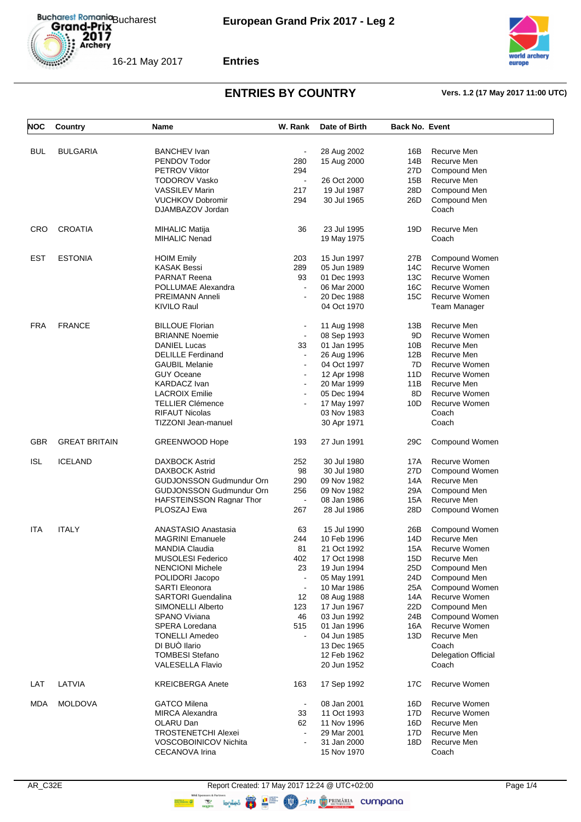



**Entries**

| NOC        | Country              | Name                            | W. Rank        | Date of Birth | <b>Back No. Event</b> |                            |
|------------|----------------------|---------------------------------|----------------|---------------|-----------------------|----------------------------|
| BUL        | <b>BULGARIA</b>      | <b>BANCHEV</b> Ivan             | $\blacksquare$ | 28 Aug 2002   | 16B                   | Recurve Men                |
|            |                      | PENDOV Todor                    | 280            | 15 Aug 2000   | 14B                   | Recurve Men                |
|            |                      | <b>PETROV Viktor</b>            | 294            |               | 27D                   | Compound Men               |
|            |                      | <b>TODOROV Vasko</b>            | $\blacksquare$ | 26 Oct 2000   | 15B                   | Recurve Men                |
|            |                      | <b>VASSILEV Marin</b>           | 217            | 19 Jul 1987   | 28D                   | Compound Men               |
|            |                      | <b>VUCHKOV Dobromir</b>         | 294            | 30 Jul 1965   | 26D                   | Compound Men               |
|            |                      | DJAMBAZOV Jordan                |                |               |                       | Coach                      |
| CRO        | <b>CROATIA</b>       | <b>MIHALIC Matija</b>           | 36             | 23 Jul 1995   | 19D                   | Recurve Men                |
|            |                      | <b>MIHALIC Nenad</b>            |                | 19 May 1975   |                       | Coach                      |
| <b>EST</b> | <b>ESTONIA</b>       | <b>HOIM Emily</b>               | 203            | 15 Jun 1997   | 27B                   | Compound Women             |
|            |                      | KASAK Bessi                     | 289            | 05 Jun 1989   | 14C                   | Recurve Women              |
|            |                      | <b>PARNAT Reena</b>             | 93             | 01 Dec 1993   | 13C                   | Recurve Women              |
|            |                      | POLLUMAE Alexandra              | $\blacksquare$ | 06 Mar 2000   | 16C                   | Recurve Women              |
|            |                      | PREIMANN Anneli                 | $\blacksquare$ | 20 Dec 1988   | 15C                   | Recurve Women              |
|            |                      | KIVILO Raul                     |                | 04 Oct 1970   |                       | <b>Team Manager</b>        |
| <b>FRA</b> | <b>FRANCE</b>        | <b>BILLOUE Florian</b>          |                | 11 Aug 1998   | 13B                   | Recurve Men                |
|            |                      | <b>BRIANNE Noemie</b>           | $\blacksquare$ | 08 Sep 1993   | 9D                    | Recurve Women              |
|            |                      | <b>DANIEL Lucas</b>             | 33             | 01 Jan 1995   | 10B                   | Recurve Men                |
|            |                      | <b>DELILLE Ferdinand</b>        |                | 26 Aug 1996   | 12B                   | Recurve Men                |
|            |                      | <b>GAUBIL Melanie</b>           | $\blacksquare$ | 04 Oct 1997   | 7D                    | Recurve Women              |
|            |                      | <b>GUY Oceane</b>               | $\blacksquare$ | 12 Apr 1998   | 11D                   | Recurve Women              |
|            |                      | <b>KARDACZ Ivan</b>             | $\mathbf{r}$   | 20 Mar 1999   | 11B                   | Recurve Men                |
|            |                      | <b>LACROIX Emilie</b>           | $\blacksquare$ | 05 Dec 1994   | 8D                    | Recurve Women              |
|            |                      | <b>TELLIER Clémence</b>         | $\overline{a}$ | 17 May 1997   | 10D                   | Recurve Women              |
|            |                      | <b>RIFAUT Nicolas</b>           |                | 03 Nov 1983   |                       | Coach                      |
|            |                      | TIZZONI Jean-manuel             |                | 30 Apr 1971   |                       | Coach                      |
| <b>GBR</b> | <b>GREAT BRITAIN</b> | GREENWOOD Hope                  | 193            | 27 Jun 1991   | 29C                   | Compound Women             |
| <b>ISL</b> | <b>ICELAND</b>       | <b>DAXBOCK Astrid</b>           | 252            | 30 Jul 1980   | 17A                   | Recurve Women              |
|            |                      | <b>DAXBOCK Astrid</b>           | 98             | 30 Jul 1980   | 27D                   | Compound Women             |
|            |                      | <b>GUDJONSSON Gudmundur Orn</b> | 290            | 09 Nov 1982   | 14A                   | Recurve Men                |
|            |                      | <b>GUDJONSSON Gudmundur Orn</b> | 256            | 09 Nov 1982   | 29A                   | Compound Men               |
|            |                      | HAFSTEINSSON Ragnar Thor        | $\blacksquare$ | 08 Jan 1986   | 15A                   | Recurve Men                |
|            |                      | PLOSZAJ Ewa                     | 267            | 28 Jul 1986   | 28D                   | Compound Women             |
| ITA        | <b>ITALY</b>         | <b>ANASTASIO Anastasia</b>      | 63             | 15 Jul 1990   | 26B                   | Compound Women             |
|            |                      | <b>MAGRINI Emanuele</b>         | 244            | 10 Feb 1996   | 14D                   | Recurve Men                |
|            |                      | <b>MANDIA Claudia</b>           | 81             | 21 Oct 1992   | 15A                   | Recurve Women              |
|            |                      | MUSOLESI Federico               | 402            | 17 Oct 1998   | 15D                   | Recurve Men                |
|            |                      | <b>NENCIONI Michele</b>         | 23             | 19 Jun 1994   | 25D                   | Compound Men               |
|            |                      | POLIDORI Jacopo                 |                | 05 May 1991   | 24D                   | Compound Men               |
|            |                      | <b>SARTI Eleonora</b>           | $\blacksquare$ | 10 Mar 1986   | 25A                   | Compound Women             |
|            |                      | <b>SARTORI Guendalina</b>       | 12             | 08 Aug 1988   | 14A                   | Recurve Women              |
|            |                      | SIMONELLI Alberto               | 123            | 17 Jun 1967   | 22D                   | Compound Men               |
|            |                      | <b>SPANO Viviana</b>            | 46             | 03 Jun 1992   | 24B                   | Compound Women             |
|            |                      | SPERA Loredana                  | 515            | 01 Jan 1996   | 16A                   | Recurve Women              |
|            |                      | <b>TONELLI Amedeo</b>           | $\blacksquare$ | 04 Jun 1985   | 13D                   | Recurve Men                |
|            |                      | DI BUÒ llario                   |                | 13 Dec 1965   |                       | Coach                      |
|            |                      | <b>TOMBESI Stefano</b>          |                | 12 Feb 1962   |                       | <b>Delegation Official</b> |
|            |                      | <b>VALESELLA Flavio</b>         |                | 20 Jun 1952   |                       | Coach                      |
| LAT        | LATVIA               | <b>KREICBERGA Anete</b>         | 163            | 17 Sep 1992   | 17C                   | Recurve Women              |
| MDA        | <b>MOLDOVA</b>       | <b>GATCO Milena</b>             | $\blacksquare$ | 08 Jan 2001   | 16D                   | Recurve Women              |
|            |                      | <b>MIRCA Alexandra</b>          | 33             | 11 Oct 1993   | 17D                   | Recurve Women              |
|            |                      | OLARU Dan                       | 62             | 11 Nov 1996   | 16D                   | Recurve Men                |
|            |                      | <b>TROSTENETCHI Alexei</b>      |                | 29 Mar 2001   | 17D                   | Recurve Men                |
|            |                      | <b>VOSCOBOINICOV Nichita</b>    |                | 31 Jan 2000   | 18D                   | Recurve Men                |
|            |                      | CECANOVA Irina                  |                | 15 Nov 1970   |                       | Coach                      |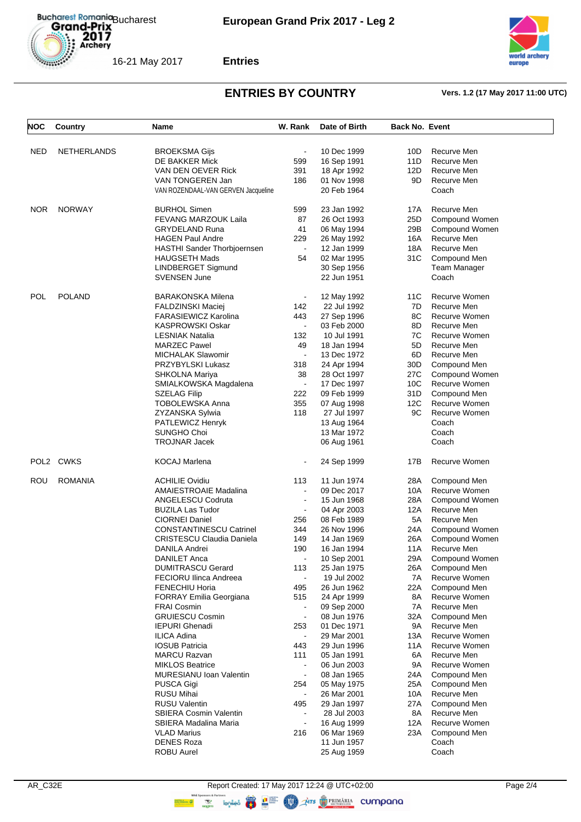



**Entries**

| NOC        | Country            | Name                                | W. Rank                  | Date of Birth              | <b>Back No. Event</b> |                             |
|------------|--------------------|-------------------------------------|--------------------------|----------------------------|-----------------------|-----------------------------|
| <b>NED</b> | <b>NETHERLANDS</b> | <b>BROEKSMA Gijs</b>                | $\blacksquare$           | 10 Dec 1999                | 10D                   | Recurve Men                 |
|            |                    | DE BAKKER Mick                      | 599                      | 16 Sep 1991                | 11D                   | Recurve Men                 |
|            |                    | VAN DEN OEVER Rick                  | 391                      | 18 Apr 1992                | 12D                   | Recurve Men                 |
|            |                    |                                     | 186                      |                            | 9D                    |                             |
|            |                    | VAN TONGEREN Jan                    |                          | 01 Nov 1998                |                       | Recurve Men                 |
|            |                    | VAN ROZENDAAL-VAN GERVEN Jacqueline |                          | 20 Feb 1964                |                       | Coach                       |
| <b>NOR</b> | <b>NORWAY</b>      | <b>BURHOL Simen</b>                 | 599                      | 23 Jan 1992                | 17A                   | Recurve Men                 |
|            |                    | FEVANG MARZOUK Laila                | 87                       | 26 Oct 1993                | 25D                   | Compound Women              |
|            |                    | <b>GRYDELAND Runa</b>               | 41                       | 06 May 1994                | 29B                   | Compound Women              |
|            |                    | <b>HAGEN Paul Andre</b>             | 229                      | 26 May 1992                | 16A                   | Recurve Men                 |
|            |                    | HASTHI Sander Thorbjoernsen         | $\sim$                   | 12 Jan 1999                | 18A                   | Recurve Men                 |
|            |                    | <b>HAUGSETH Mads</b>                | 54                       | 02 Mar 1995                | 31C                   | Compound Men                |
|            |                    | LINDBERGET Sigmund                  |                          | 30 Sep 1956                |                       | Team Manager                |
|            |                    | SVENSEN June                        |                          | 22 Jun 1951                |                       | Coach                       |
| <b>POL</b> | <b>POLAND</b>      | <b>BARAKONSKA Milena</b>            | $\blacksquare$           | 12 May 1992                | 11C                   | Recurve Women               |
|            |                    | FALDZINSKI Maciej                   | 142                      | 22 Jul 1992                | 7D                    | Recurve Men                 |
|            |                    | <b>FARASIEWICZ Karolina</b>         | 443                      | 27 Sep 1996                | 8C                    | Recurve Women               |
|            |                    | <b>KASPROWSKI Oskar</b>             | $\blacksquare$           | 03 Feb 2000                | 8D                    | Recurve Men                 |
|            |                    | <b>LESNIAK Natalia</b>              | 132                      | 10 Jul 1991                | 7C                    | Recurve Women               |
|            |                    | <b>MARZEC Pawel</b>                 | 49                       | 18 Jan 1994                | 5D                    | Recurve Men                 |
|            |                    | <b>MICHALAK Slawomir</b>            | $\blacksquare$           | 13 Dec 1972                | 6D                    | Recurve Men                 |
|            |                    | PRZYBYLSKI Lukasz                   | 318                      | 24 Apr 1994                | 30D                   | Compound Men                |
|            |                    |                                     | 38                       |                            | 27C                   |                             |
|            |                    | SHKOLNA Mariya                      |                          | 28 Oct 1997                |                       | Compound Women              |
|            |                    | SMIALKOWSKA Magdalena               | $\blacksquare$           | 17 Dec 1997                | 10C                   | Recurve Women               |
|            |                    | <b>SZELAG Filip</b>                 | 222                      | 09 Feb 1999                | 31D                   | Compound Men                |
|            |                    | <b>TOBOLEWSKA Anna</b>              | 355                      | 07 Aug 1998                | 12C                   | Recurve Women               |
|            |                    | ZYZANSKA Sylwia                     | 118                      | 27 Jul 1997                | 9C                    | Recurve Women               |
|            |                    | PATLEWICZ Henryk                    |                          | 13 Aug 1964                |                       | Coach                       |
|            |                    | SUNGHO Choi                         |                          | 13 Mar 1972                |                       | Coach                       |
|            |                    | <b>TROJNAR Jacek</b>                |                          | 06 Aug 1961                |                       | Coach                       |
| POL2       | <b>CWKS</b>        | KOCAJ Marlena                       | $\blacksquare$           | 24 Sep 1999                | 17B                   | Recurve Women               |
| ROU        | <b>ROMANIA</b>     | <b>ACHILIE Ovidiu</b>               | 113                      | 11 Jun 1974                | 28A                   | Compound Men                |
|            |                    | AMAIESTROAIE Madalina               |                          | 09 Dec 2017                | 10A                   | Recurve Women               |
|            |                    | <b>ANGELESCU Codruta</b>            | $\overline{\phantom{a}}$ | 15 Jun 1968                | 28A                   | Compound Women              |
|            |                    | <b>BUZILA Las Tudor</b>             | $\blacksquare$           | 04 Apr 2003                | 12A                   | Recurve Men                 |
|            |                    | <b>CIORNEI Daniel</b>               | 256                      | 08 Feb 1989                | 5A                    | Recurve Men                 |
|            |                    | <b>CONSTANTINESCU Catrinel</b>      | 344                      | 26 Nov 1996                | 24A                   | Compound Women              |
|            |                    | <b>CRISTESCU Claudia Daniela</b>    | 149                      | 14 Jan 1969                | 26A                   | Compound Women              |
|            |                    | <b>DANILA Andrei</b>                | 190                      | 16 Jan 1994                | 11A                   | Recurve Men                 |
|            |                    | <b>DANILET Anca</b>                 | $\blacksquare$           | 10 Sep 2001                | 29A                   | Compound Women              |
|            |                    | <b>DUMITRASCU Gerard</b>            | 113                      | 25 Jan 1975                | 26A                   | Compound Men                |
|            |                    | FECIORU Ilinca Andreea              | $\blacksquare$           | 19 Jul 2002                | 7A                    | Recurve Women               |
|            |                    | <b>FENECHIU Horia</b>               | 495                      | 26 Jun 1962                | 22A                   | Compound Men                |
|            |                    | <b>FORRAY Emilia Georgiana</b>      | 515                      | 24 Apr 1999                | 8A                    | Recurve Women               |
|            |                    | <b>FRAI Cosmin</b>                  |                          | 09 Sep 2000                | 7A                    | Recurve Men                 |
|            |                    | <b>GRUIESCU Cosmin</b>              | $\blacksquare$           | 08 Jun 1976                | 32A                   | Compound Men                |
|            |                    | <b>IEPURI Ghenadi</b>               | 253                      | 01 Dec 1971                | 9A                    | Recurve Men                 |
|            |                    | <b>ILICA Adina</b>                  | $\blacksquare$           | 29 Mar 2001                | 13A                   | Recurve Women               |
|            |                    | <b>IOSUB Patricia</b>               | 443                      | 29 Jun 1996                | 11A                   | Recurve Women               |
|            |                    | <b>MARCU Razvan</b>                 | 111                      | 05 Jan 1991                | 6A                    | Recurve Men                 |
|            |                    | <b>MIKLOS Beatrice</b>              |                          | 06 Jun 2003                | 9A                    | Recurve Women               |
|            |                    | <b>MURESIANU Ioan Valentin</b>      | $\blacksquare$           | 08 Jan 1965                | 24A                   | Compound Men                |
|            |                    |                                     |                          |                            |                       |                             |
|            |                    | PUSCA Gigi<br><b>RUSU Mihai</b>     | 254                      | 05 May 1975<br>26 Mar 2001 | 25A                   | Compound Men<br>Recurve Men |
|            |                    |                                     |                          |                            | 10A                   |                             |
|            |                    | <b>RUSU Valentin</b>                | 495                      | 29 Jan 1997                | 27A                   | Compound Men                |
|            |                    | <b>SBIERA Cosmin Valentin</b>       |                          | 28 Jul 2003                | 8A                    | Recurve Men                 |
|            |                    | SBIERA Madalina Maria               | $\blacksquare$           | 16 Aug 1999                | 12A                   | Recurve Women               |
|            |                    | <b>VLAD Marius</b>                  | 216                      | 06 Mar 1969                | 23A                   | Compound Men                |
|            |                    | <b>DENES Roza</b>                   |                          | 11 Jun 1957                |                       | Coach                       |
|            |                    | ROBU Aurel                          |                          | 25 Aug 1959                |                       | Coach                       |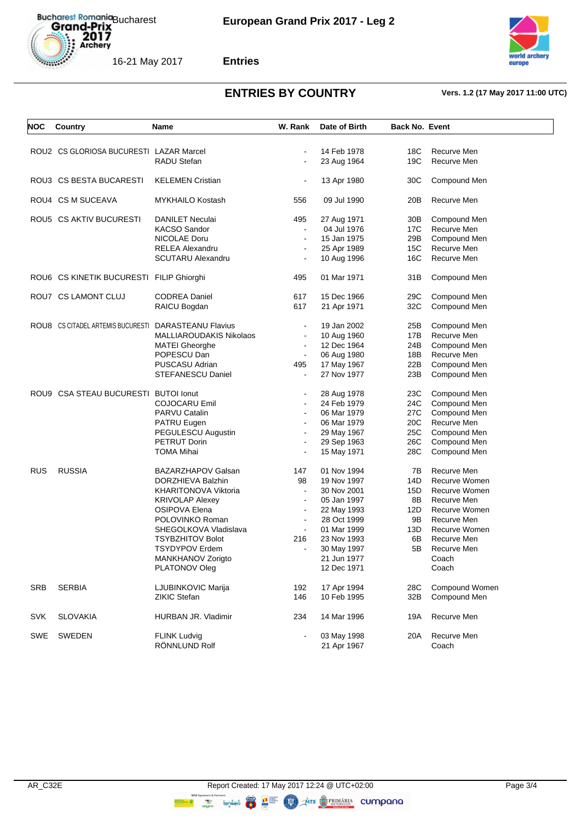



**Entries**

| <b>NOC</b> | Country                                              | Name                     | W. Rank        | Date of Birth | <b>Back No. Event</b> |                |
|------------|------------------------------------------------------|--------------------------|----------------|---------------|-----------------------|----------------|
|            | ROU2 CS GLORIOSA BUCURESTI LAZAR Marcel              |                          |                |               |                       |                |
|            |                                                      |                          |                | 14 Feb 1978   | 18C                   | Recurve Men    |
|            |                                                      | RADU Stefan              |                | 23 Aug 1964   | 19C                   | Recurve Men    |
|            | ROU3 CS BESTA BUCARESTI                              | <b>KELEMEN Cristian</b>  |                | 13 Apr 1980   | 30C                   | Compound Men   |
|            | ROU4 CS M SUCEAVA                                    | <b>MYKHAILO Kostash</b>  | 556            | 09 Jul 1990   | 20B                   | Recurve Men    |
|            | ROU5 CS AKTIV BUCURESTI                              | <b>DANILET Neculai</b>   | 495            | 27 Aug 1971   | 30B                   | Compound Men   |
|            |                                                      | <b>KACSO Sandor</b>      | $\blacksquare$ | 04 Jul 1976   | 17C                   | Recurve Men    |
|            |                                                      | NICOLAE Doru             | $\blacksquare$ | 15 Jan 1975   | 29B                   | Compound Men   |
|            |                                                      | <b>RELEA Alexandru</b>   |                | 25 Apr 1989   | 15C                   | Recurve Men    |
|            |                                                      | <b>SCUTARU Alexandru</b> |                | 10 Aug 1996   | 16C                   | Recurve Men    |
|            |                                                      |                          |                |               |                       |                |
|            | ROU6 CS KINETIK BUCURESTI FILIP Ghiorghi             |                          | 495            | 01 Mar 1971   | 31B                   | Compound Men   |
|            | ROU7 CS LAMONT CLUJ                                  | <b>CODREA Daniel</b>     | 617            | 15 Dec 1966   | 29C                   | Compound Men   |
|            |                                                      | RAICU Bogdan             | 617            | 21 Apr 1971   | 32C                   | Compound Men   |
|            |                                                      |                          |                |               |                       |                |
|            | ROU8 CS CITADEL ARTEMIS BUCURESTI DARASTEANU Flavius |                          |                | 19 Jan 2002   | 25B                   | Compound Men   |
|            |                                                      | MALLIAROUDAKIS Nikolaos  | $\blacksquare$ | 10 Aug 1960   | 17B                   | Recurve Men    |
|            |                                                      | <b>MATEI Gheorghe</b>    | $\blacksquare$ | 12 Dec 1964   | 24B                   | Compound Men   |
|            |                                                      | POPESCU Dan              | $\blacksquare$ | 06 Aug 1980   | 18B                   | Recurve Men    |
|            |                                                      | PUSCASU Adrian           | 495            | 17 May 1967   | 22B                   | Compound Men   |
|            |                                                      | <b>STEFANESCU Daniel</b> |                | 27 Nov 1977   | 23B                   | Compound Men   |
|            |                                                      |                          |                |               |                       |                |
|            | ROU9 CSA STEAU BUCURESTI BUTOI Ionut                 |                          |                | 28 Aug 1978   | 23C                   | Compound Men   |
|            |                                                      | COJOCARU Emil            | $\blacksquare$ | 24 Feb 1979   | 24C                   | Compound Men   |
|            |                                                      | PARVU Catalin            |                | 06 Mar 1979   | 27C                   | Compound Men   |
|            |                                                      | PATRU Eugen              |                | 06 Mar 1979   | 20C                   | Recurve Men    |
|            |                                                      | PEGULESCU Augustin       | $\blacksquare$ | 29 May 1967   | 25C                   | Compound Men   |
|            |                                                      | PETRUT Dorin             |                | 29 Sep 1963   | 26C                   | Compound Men   |
|            |                                                      | <b>TOMA Mihai</b>        |                | 15 May 1971   | 28C                   | Compound Men   |
|            |                                                      |                          |                |               |                       |                |
| <b>RUS</b> | <b>RUSSIA</b>                                        | BAZARZHAPOV Galsan       | 147            | 01 Nov 1994   | 7В                    | Recurve Men    |
|            |                                                      | DORZHIEVA Balzhin        | 98             | 19 Nov 1997   | 14D                   | Recurve Women  |
|            |                                                      | KHARITONOVA Viktoria     | $\blacksquare$ | 30 Nov 2001   | 15D                   | Recurve Women  |
|            |                                                      | <b>KRIVOLAP Alexey</b>   | $\blacksquare$ | 05 Jan 1997   | 8Β                    | Recurve Men    |
|            |                                                      | OSIPOVA Elena            | $\blacksquare$ | 22 May 1993   | 12D                   | Recurve Women  |
|            |                                                      | POLOVINKO Roman          | $\blacksquare$ | 28 Oct 1999   | 9Β                    | Recurve Men    |
|            |                                                      | SHEGOLKOVA Vladislava    | $\blacksquare$ | 01 Mar 1999   | 13D                   | Recurve Women  |
|            |                                                      | <b>TSYBZHITOV Bolot</b>  | 216            | 23 Nov 1993   | 6B                    | Recurve Men    |
|            |                                                      | <b>TSYDYPOV Erdem</b>    |                | 30 May 1997   | 5B                    | Recurve Men    |
|            |                                                      | MANKHANOV Zorigto        |                | 21 Jun 1977   |                       | Coach          |
|            |                                                      | PLATONOV Oleg            |                | 12 Dec 1971   |                       |                |
|            |                                                      |                          |                |               |                       | Coach          |
| <b>SRB</b> | <b>SERBIA</b>                                        | LJUBINKOVIC Marija       | 192            | 17 Apr 1994   | 28C                   | Compound Women |
|            |                                                      | ZIKIC Stefan             | 146            | 10 Feb 1995   | 32B                   | Compound Men   |
|            |                                                      |                          |                |               |                       |                |
| <b>SVK</b> | <b>SLOVAKIA</b>                                      | HURBAN JR. Vladimir      | 234            | 14 Mar 1996   | 19A                   | Recurve Men    |
| SWE        | SWEDEN                                               | <b>FLINK Ludvig</b>      |                | 03 May 1998   | 20A                   | Recurve Men    |
|            |                                                      | RÖNNLUND Rolf            |                | 21 Apr 1967   |                       | Coach          |
|            |                                                      |                          |                |               |                       |                |